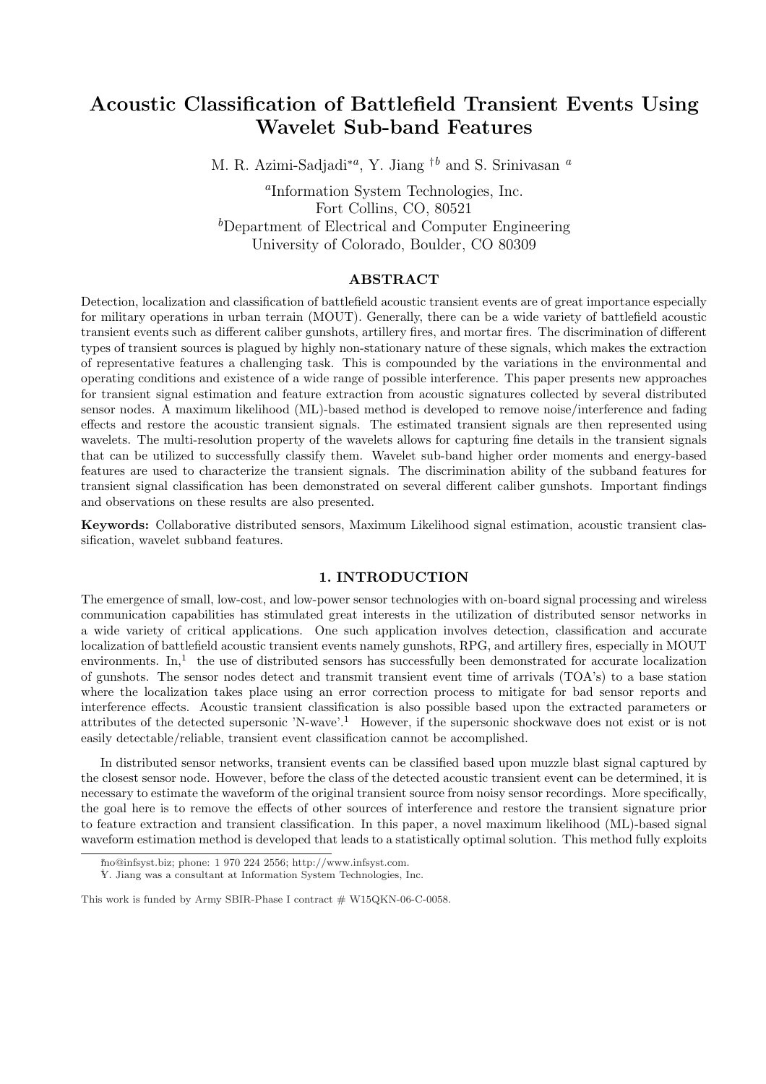# Acoustic Classification of Battlefield Transient Events Using Wavelet Sub-band Features

M. R. Azimi-Sadjadi<sup>\*a</sup>, Y. Jiang <sup>†b</sup> and S. Srinivasan <sup>a</sup>

a Information System Technologies, Inc. Fort Collins, CO, 80521  $b$ Department of Electrical and Computer Engineering University of Colorado, Boulder, CO 80309

# ABSTRACT

Detection, localization and classification of battlefield acoustic transient events are of great importance especially for military operations in urban terrain (MOUT). Generally, there can be a wide variety of battlefield acoustic transient events such as different caliber gunshots, artillery fires, and mortar fires. The discrimination of different types of transient sources is plagued by highly non-stationary nature of these signals, which makes the extraction of representative features a challenging task. This is compounded by the variations in the environmental and operating conditions and existence of a wide range of possible interference. This paper presents new approaches for transient signal estimation and feature extraction from acoustic signatures collected by several distributed sensor nodes. A maximum likelihood (ML)-based method is developed to remove noise/interference and fading effects and restore the acoustic transient signals. The estimated transient signals are then represented using wavelets. The multi-resolution property of the wavelets allows for capturing fine details in the transient signals that can be utilized to successfully classify them. Wavelet sub-band higher order moments and energy-based features are used to characterize the transient signals. The discrimination ability of the subband features for transient signal classification has been demonstrated on several different caliber gunshots. Important findings and observations on these results are also presented.

Keywords: Collaborative distributed sensors, Maximum Likelihood signal estimation, acoustic transient classification, wavelet subband features.

## 1. INTRODUCTION

The emergence of small, low-cost, and low-power sensor technologies with on-board signal processing and wireless communication capabilities has stimulated great interests in the utilization of distributed sensor networks in a wide variety of critical applications. One such application involves detection, classification and accurate localization of battlefield acoustic transient events namely gunshots, RPG, and artillery fires, especially in MOUT environments. In,<sup>1</sup> the use of distributed sensors has successfully been demonstrated for accurate localization of gunshots. The sensor nodes detect and transmit transient event time of arrivals (TOA's) to a base station where the localization takes place using an error correction process to mitigate for bad sensor reports and interference effects. Acoustic transient classification is also possible based upon the extracted parameters or attributes of the detected supersonic 'N-wave'.<sup>1</sup> However, if the supersonic shockwave does not exist or is not easily detectable/reliable, transient event classification cannot be accomplished.

In distributed sensor networks, transient events can be classified based upon muzzle blast signal captured by the closest sensor node. However, before the class of the detected acoustic transient event can be determined, it is necessary to estimate the waveform of the original transient source from noisy sensor recordings. More specifically, the goal here is to remove the effects of other sources of interference and restore the transient signature prior to feature extraction and transient classification. In this paper, a novel maximum likelihood (ML)-based signal waveform estimation method is developed that leads to a statistically optimal solution. This method fully exploits

†Y. Jiang was a consultant at Information System Technologies, Inc.

<sup>∗</sup>mo@infsyst.biz; phone: 1 970 224 2556; http://www.infsyst.com.

This work is funded by Army SBIR-Phase I contract  $#$  W15QKN-06-C-0058.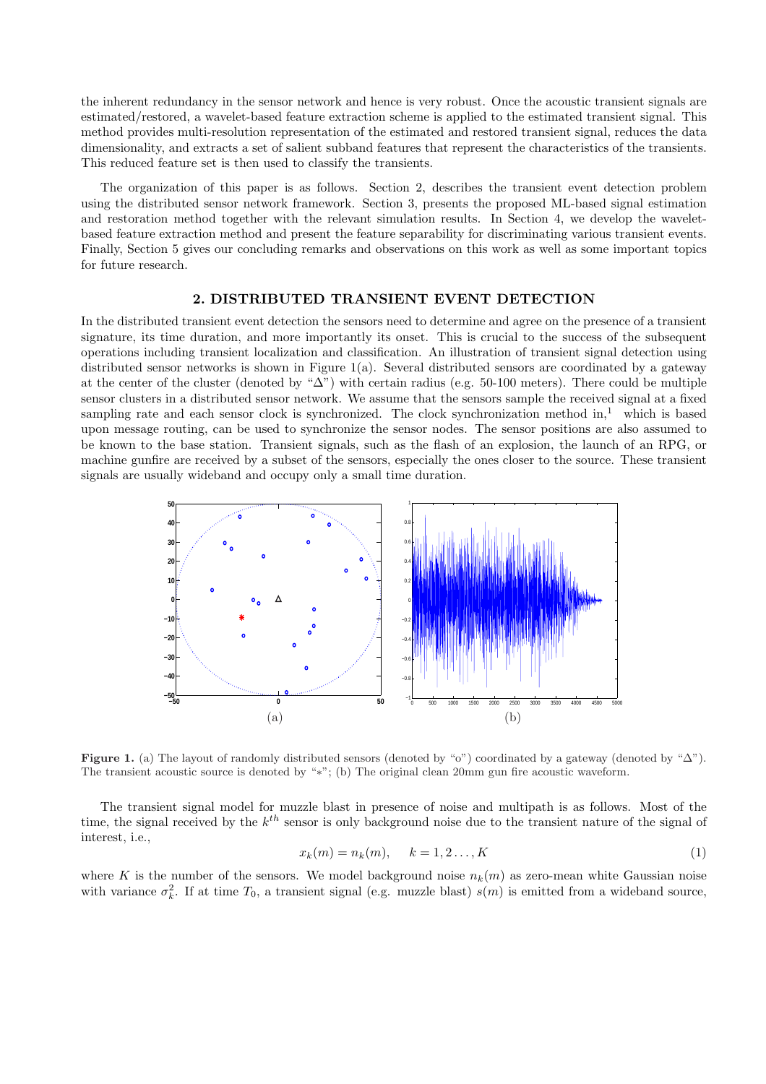the inherent redundancy in the sensor network and hence is very robust. Once the acoustic transient signals are estimated/restored, a wavelet-based feature extraction scheme is applied to the estimated transient signal. This method provides multi-resolution representation of the estimated and restored transient signal, reduces the data dimensionality, and extracts a set of salient subband features that represent the characteristics of the transients. This reduced feature set is then used to classify the transients.

The organization of this paper is as follows. Section 2, describes the transient event detection problem using the distributed sensor network framework. Section 3, presents the proposed ML-based signal estimation and restoration method together with the relevant simulation results. In Section 4, we develop the waveletbased feature extraction method and present the feature separability for discriminating various transient events. Finally, Section 5 gives our concluding remarks and observations on this work as well as some important topics for future research.

#### 2. DISTRIBUTED TRANSIENT EVENT DETECTION

In the distributed transient event detection the sensors need to determine and agree on the presence of a transient signature, its time duration, and more importantly its onset. This is crucial to the success of the subsequent operations including transient localization and classification. An illustration of transient signal detection using distributed sensor networks is shown in Figure 1(a). Several distributed sensors are coordinated by a gateway at the center of the cluster (denoted by "∆") with certain radius (e.g. 50-100 meters). There could be multiple sensor clusters in a distributed sensor network. We assume that the sensors sample the received signal at a fixed sampling rate and each sensor clock is synchronized. The clock synchronization method in,<sup>1</sup> which is based upon message routing, can be used to synchronize the sensor nodes. The sensor positions are also assumed to be known to the base station. Transient signals, such as the flash of an explosion, the launch of an RPG, or machine gunfire are received by a subset of the sensors, especially the ones closer to the source. These transient signals are usually wideband and occupy only a small time duration.



Figure 1. (a) The layout of randomly distributed sensors (denoted by "o") coordinated by a gateway (denoted by " $\Delta$ "). The transient acoustic source is denoted by "∗"; (b) The original clean 20mm gun fire acoustic waveform.

The transient signal model for muzzle blast in presence of noise and multipath is as follows. Most of the time, the signal received by the  $k^{th}$  sensor is only background noise due to the transient nature of the signal of interest, i.e.,

$$
x_k(m) = n_k(m), \qquad k = 1, 2 \dots, K \tag{1}
$$

where K is the number of the sensors. We model background noise  $n_k(m)$  as zero-mean white Gaussian noise with variance  $\sigma_k^2$ . If at time  $T_0$ , a transient signal (e.g. muzzle blast)  $s(m)$  is emitted from a wideband source,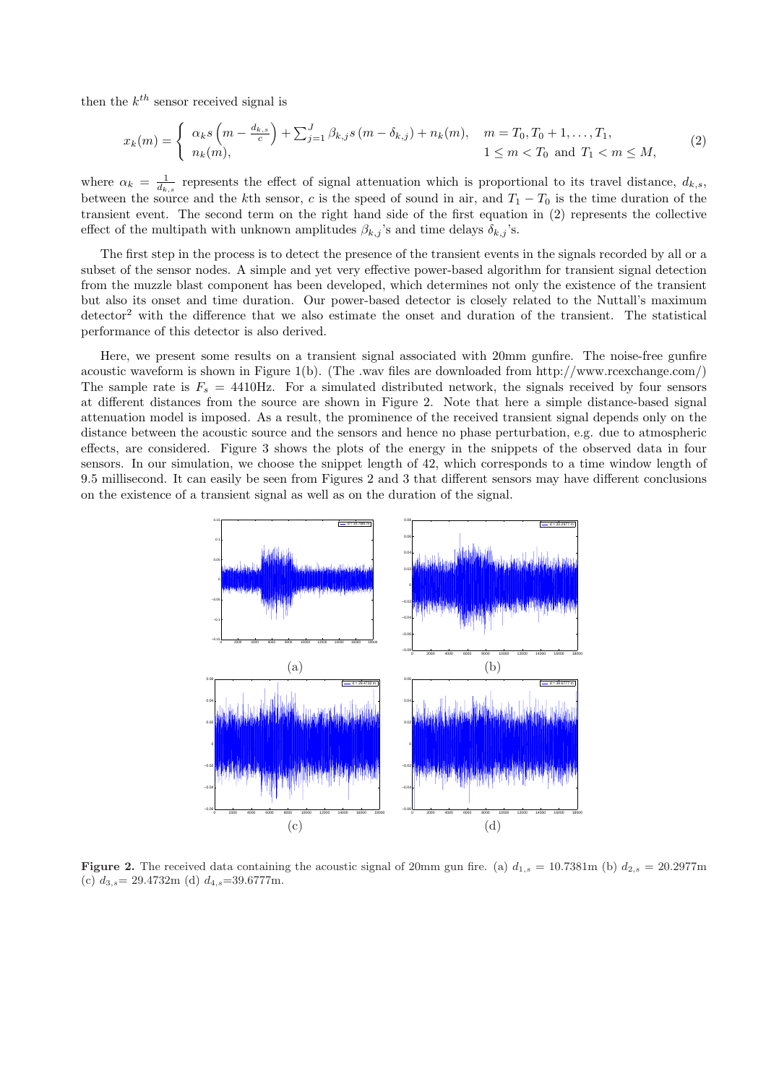then the  $k^{th}$  sensor received signal is

$$
x_k(m) = \begin{cases} \alpha_k s \left( m - \frac{d_{k,s}}{c} \right) + \sum_{j=1}^J \beta_{k,j} s \left( m - \delta_{k,j} \right) + n_k(m), & m = T_0, T_0 + 1, \dots, T_1, \\ n_k(m), & 1 \le m < T_0 \text{ and } T_1 < m \le M, \end{cases}
$$
(2)

where  $\alpha_k = \frac{1}{d_{k,s}}$  represents the effect of signal attenuation which is proportional to its travel distance,  $d_{k,s}$ , between the source and the kth sensor, c is the speed of sound in air, and  $T_1 - T_0$  is the time duration of the transient event. The second term on the right hand side of the first equation in (2) represents the collective effect of the multipath with unknown amplitudes  $\beta_{k,j}$ 's and time delays  $\delta_{k,j}$ 's.

The first step in the process is to detect the presence of the transient events in the signals recorded by all or a subset of the sensor nodes. A simple and yet very effective power-based algorithm for transient signal detection from the muzzle blast component has been developed, which determines not only the existence of the transient but also its onset and time duration. Our power-based detector is closely related to the Nuttall's maximum detector<sup>2</sup> with the difference that we also estimate the onset and duration of the transient. The statistical performance of this detector is also derived.

Here, we present some results on a transient signal associated with 20mm gunfire. The noise-free gunfire acoustic waveform is shown in Figure 1(b). (The .wav files are downloaded from http://www.rcexchange.com/) The sample rate is  $F_s = 4410$ Hz. For a simulated distributed network, the signals received by four sensors at different distances from the source are shown in Figure 2. Note that here a simple distance-based signal attenuation model is imposed. As a result, the prominence of the received transient signal depends only on the distance between the acoustic source and the sensors and hence no phase perturbation, e.g. due to atmospheric effects, are considered. Figure 3 shows the plots of the energy in the snippets of the observed data in four sensors. In our simulation, we choose the snippet length of 42, which corresponds to a time window length of 9.5 millisecond. It can easily be seen from Figures 2 and 3 that different sensors may have different conclusions on the existence of a transient signal as well as on the duration of the signal.



Figure 2. The received data containing the acoustic signal of 20mm gun fire. (a)  $d_{1,s} = 10.7381$ m (b)  $d_{2,s} = 20.2977$ m (c)  $d_{3,s}=29.4732$ m (d)  $d_{4,s}=39.6777$ m.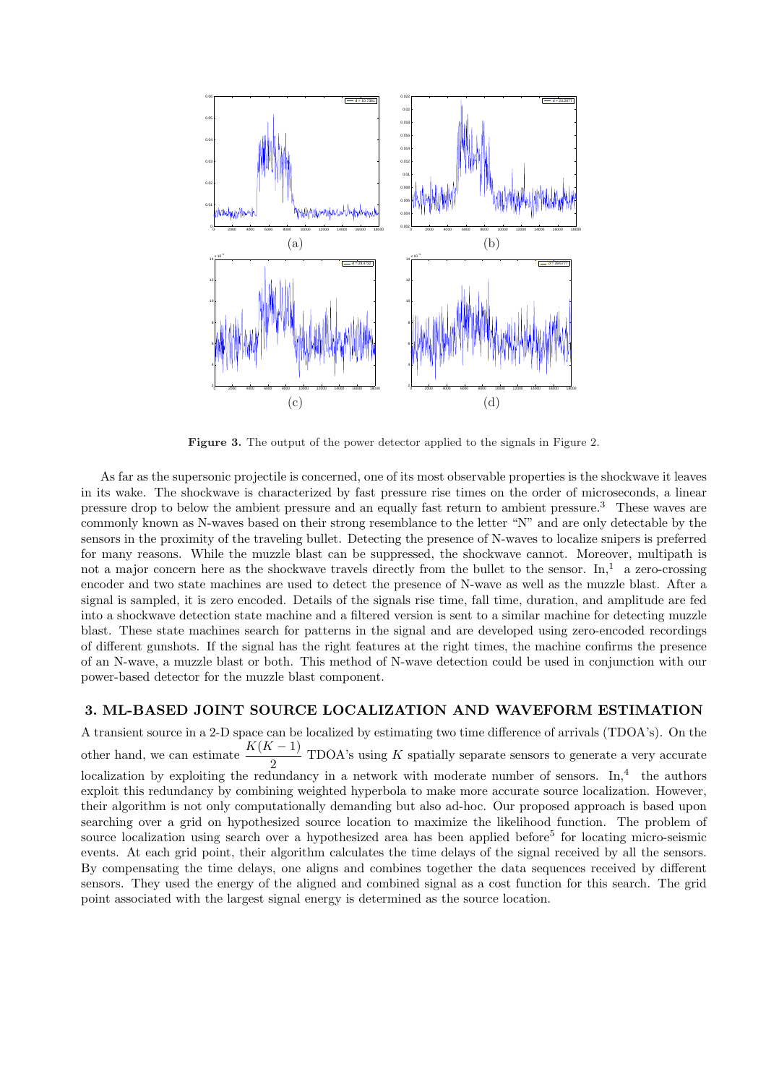

Figure 3. The output of the power detector applied to the signals in Figure 2.

As far as the supersonic projectile is concerned, one of its most observable properties is the shockwave it leaves in its wake. The shockwave is characterized by fast pressure rise times on the order of microseconds, a linear pressure drop to below the ambient pressure and an equally fast return to ambient pressure.<sup>3</sup> These waves are commonly known as N-waves based on their strong resemblance to the letter "N" and are only detectable by the sensors in the proximity of the traveling bullet. Detecting the presence of N-waves to localize snipers is preferred for many reasons. While the muzzle blast can be suppressed, the shockwave cannot. Moreover, multipath is not a major concern here as the shockwave travels directly from the bullet to the sensor. In,<sup>1</sup> a zero-crossing encoder and two state machines are used to detect the presence of N-wave as well as the muzzle blast. After a signal is sampled, it is zero encoded. Details of the signals rise time, fall time, duration, and amplitude are fed into a shockwave detection state machine and a filtered version is sent to a similar machine for detecting muzzle blast. These state machines search for patterns in the signal and are developed using zero-encoded recordings of different gunshots. If the signal has the right features at the right times, the machine confirms the presence of an N-wave, a muzzle blast or both. This method of N-wave detection could be used in conjunction with our power-based detector for the muzzle blast component.

#### 3. ML-BASED JOINT SOURCE LOCALIZATION AND WAVEFORM ESTIMATION

A transient source in a 2-D space can be localized by estimating two time difference of arrivals (TDOA's). On the other hand, we can estimate  $\frac{K(K-1)}{2}$  TDOA's using K spatially separate sensors to generate a very accurate localization by exploiting the redundancy in a network with moderate number of sensors. In,<sup>4</sup> the authors exploit this redundancy by combining weighted hyperbola to make more accurate source localization. However, their algorithm is not only computationally demanding but also ad-hoc. Our proposed approach is based upon searching over a grid on hypothesized source location to maximize the likelihood function. The problem of source localization using search over a hypothesized area has been applied before<sup>5</sup> for locating micro-seismic events. At each grid point, their algorithm calculates the time delays of the signal received by all the sensors. By compensating the time delays, one aligns and combines together the data sequences received by different sensors. They used the energy of the aligned and combined signal as a cost function for this search. The grid point associated with the largest signal energy is determined as the source location.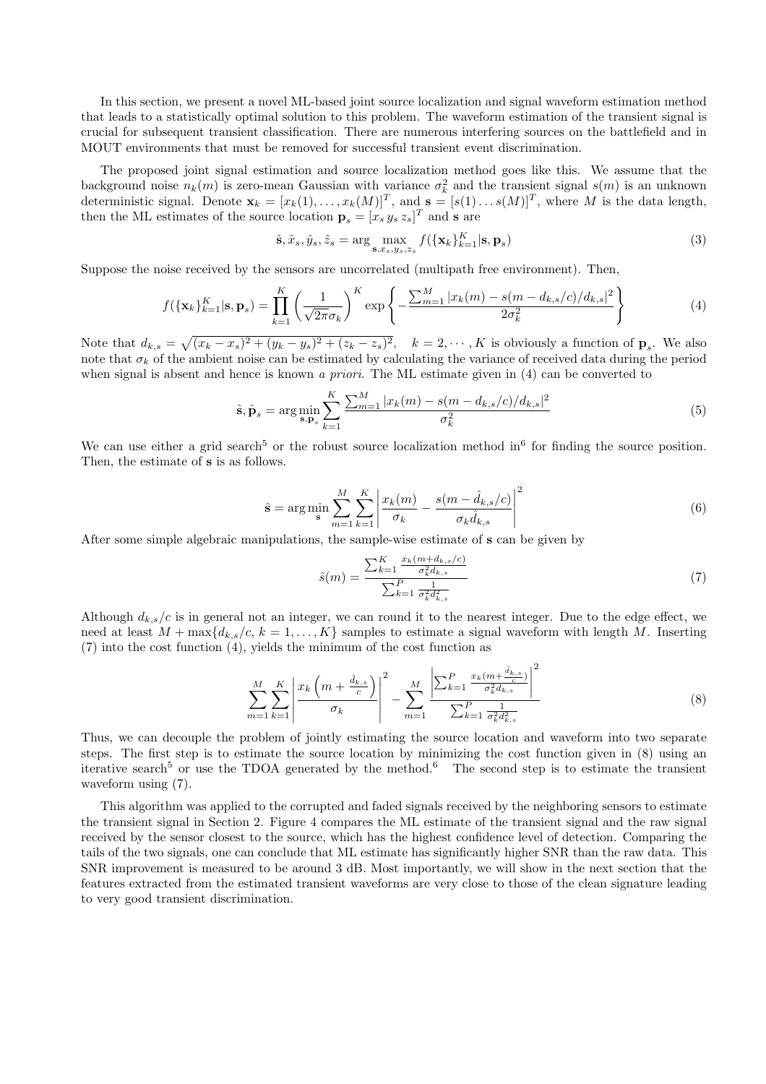In this section, we present a novel ML-based joint source localization and signal waveform estimation method that leads to a statistically optimal solution to this problem. The waveform estimation of the transient signal is crucial for subsequent transient classification. There are numerous interfering sources on the battlefield and in MOUT environments that must be removed for successful transient event discrimination.

The proposed joint signal estimation and source localization method goes like this. We assume that the background noise  $n_k(m)$  is zero-mean Gaussian with variance  $\sigma_k^2$  and the transient signal  $s(m)$  is an unknown deterministic signal. Denote  $\mathbf{x}_k = [x_k(1), \dots, x_k(M)]^T$ , and  $\mathbf{s} = [s(1) \dots s(M)]^T$ , where M is the data length, then the ML estimates of the source location  $\mathbf{p}_s = [x_s y_s z_s]^T$  and s are

$$
\hat{\mathbf{s}}, \hat{x}_s, \hat{y}_s, \hat{z}_s = \arg\max_{\mathbf{s}, x_s, y_s, z_s} f(\{\mathbf{x}_k\}_{k=1}^K | \mathbf{s}, \mathbf{p}_s)
$$
(3)

Suppose the noise received by the sensors are uncorrelated (multipath free environment). Then,

$$
f(\{\mathbf{x}_{k}\}_{k=1}^{K}|\mathbf{s},\mathbf{p}_{s}) = \prod_{k=1}^{K} \left(\frac{1}{\sqrt{2\pi}\sigma_{k}}\right)^{K} \exp\left\{-\frac{\sum_{m=1}^{M} |x_{k}(m) - s(m - d_{k,s}/c)/d_{k,s}|^{2}}{2\sigma_{k}^{2}}\right\}
$$
(4)

Note that  $d_{k,s} =$  $(x_k - x_s)^2 + (y_k - y_s)^2 + (z_k - z_s)^2$ ,  $k = 2, \dots, K$  is obviously a function of  $\mathbf{p}_s$ . We also note that  $\sigma_k$  of the ambient noise can be estimated by calculating the variance of received data during the period when signal is absent and hence is known a priori. The ML estimate given in (4) can be converted to

$$
\hat{\mathbf{s}}, \hat{\mathbf{p}}_s = \arg\min_{\mathbf{s}, \mathbf{p}_s} \sum_{k=1}^K \frac{\sum_{m=1}^M |x_k(m) - s(m - d_{k,s}/c)/d_{k,s}|^2}{\sigma_k^2} \tag{5}
$$

We can use either a grid search<sup>5</sup> or the robust source localization method in<sup>6</sup> for finding the source position. Then, the estimate of **s** is as follows.

$$
\hat{\mathbf{s}} = \arg\min_{\mathbf{s}} \sum_{m=1}^{M} \sum_{k=1}^{K} \left| \frac{x_k(m)}{\sigma_k} - \frac{s(m - \hat{d}_{k,s}/c)}{\sigma_k \hat{d}_{k,s}} \right|^2 \tag{6}
$$

After some simple algebraic manipulations, the sample-wise estimate of s can be given by

$$
\hat{s}(m) = \frac{\sum_{k=1}^{K} \frac{x_k(m + d_{k,s}/c)}{\sigma_k^2 d_{k,s}}}{\sum_{k=1}^{P} \frac{1}{\sigma_k^2 d_{k,s}^2}}
$$
(7)

Although  $d_{k,s}/c$  is in general not an integer, we can round it to the nearest integer. Due to the edge effect, we need at least  $M + \max\{d_{k,s}/c, k = 1, ..., K\}$  samples to estimate a signal waveform with length M. Inserting (7) into the cost function (4), yields the minimum of the cost function as

$$
\sum_{m=1}^{M} \sum_{k=1}^{K} \left| \frac{x_k \left(m + \frac{\hat{d}_{k,s}}{c}\right)}{\sigma_k} \right|^2 - \sum_{m=1}^{M} \left| \frac{\sum_{k=1}^{P} \frac{x_k(m + \frac{\hat{d}_{k,s}}{c})}{\sigma_k^2 d_{k,s}} \right|^2}{\sum_{k=1}^{P} \frac{1}{\sigma_k^2 d_{k,s}^2}}
$$
(8)

Thus, we can decouple the problem of jointly estimating the source location and waveform into two separate steps. The first step is to estimate the source location by minimizing the cost function given in (8) using an iterative search<sup>5</sup> or use the TDOA generated by the method.<sup>6</sup> The second step is to estimate the transient waveform using (7).

This algorithm was applied to the corrupted and faded signals received by the neighboring sensors to estimate the transient signal in Section 2. Figure 4 compares the ML estimate of the transient signal and the raw signal received by the sensor closest to the source, which has the highest confidence level of detection. Comparing the tails of the two signals, one can conclude that ML estimate has significantly higher SNR than the raw data. This SNR improvement is measured to be around 3 dB. Most importantly, we will show in the next section that the features extracted from the estimated transient waveforms are very close to those of the clean signature leading to very good transient discrimination.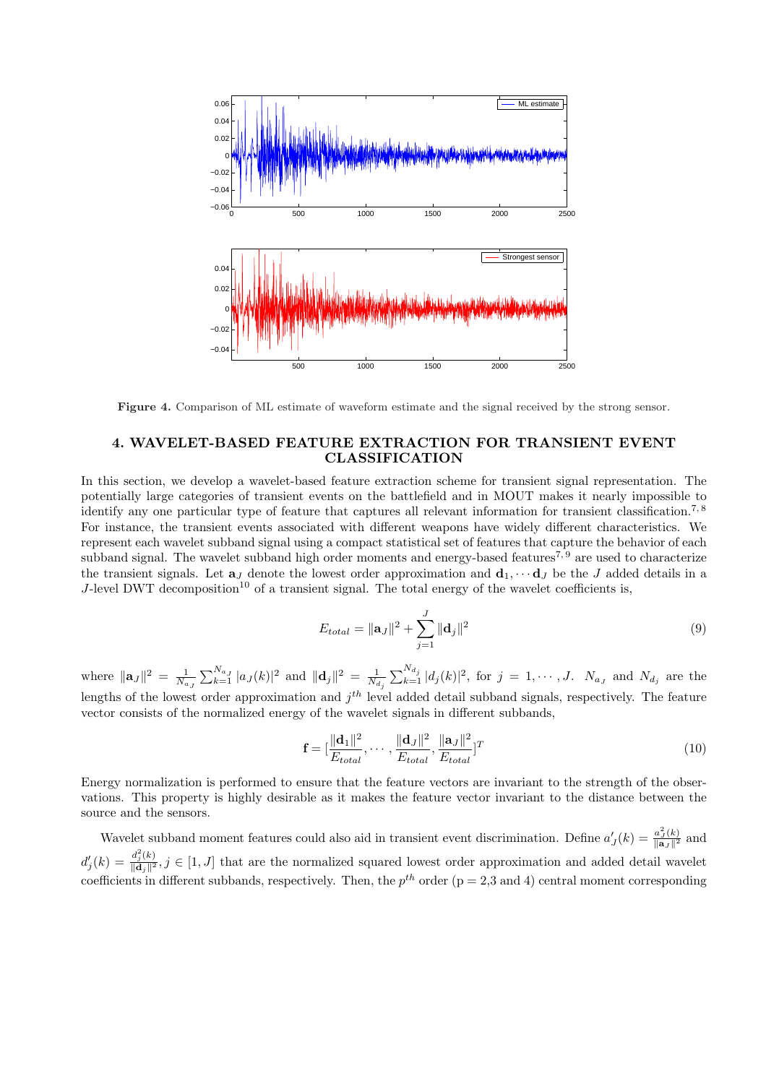

Figure 4. Comparison of ML estimate of waveform estimate and the signal received by the strong sensor.

# 4. WAVELET-BASED FEATURE EXTRACTION FOR TRANSIENT EVENT CLASSIFICATION

In this section, we develop a wavelet-based feature extraction scheme for transient signal representation. The potentially large categories of transient events on the battlefield and in MOUT makes it nearly impossible to identify any one particular type of feature that captures all relevant information for transient classification.<sup>7, 8</sup> For instance, the transient events associated with different weapons have widely different characteristics. We represent each wavelet subband signal using a compact statistical set of features that capture the behavior of each subband signal. The wavelet subband high order moments and energy-based features<sup>7,9</sup> are used to characterize the transient signals. Let  $\mathbf{a}_I$  denote the lowest order approximation and  $\mathbf{d}_1, \cdots, \mathbf{d}_I$  be the J added details in a J-level DWT decomposition<sup>10</sup> of a transient signal. The total energy of the wavelet coefficients is,

$$
E_{total} = \|\mathbf{a}_{J}\|^{2} + \sum_{j=1}^{J} \|\mathbf{d}_{j}\|^{2}
$$
\n(9)

where  $\|\mathbf{a}_J\|^2 = \frac{1}{N_{a_J}}$  $\sum_{k=1}^{N_{a}} |a_{J}(k)|^2$  and  $||\mathbf{d}_j||^2 = \frac{1}{N_{d_j}}$  $\sum_{k=1}^{N_{d_j}} |d_j(k)|^2$ , for  $j = 1, \cdots, J$ .  $N_{a_j}$  and  $N_{d_j}$  are the lengths of the lowest order approximation and  $j<sup>th</sup>$  level added detail subband signals, respectively. The feature vector consists of the normalized energy of the wavelet signals in different subbands,

$$
\mathbf{f} = [\frac{\|\mathbf{d}_1\|^2}{E_{total}}, \cdots, \frac{\|\mathbf{d}_J\|^2}{E_{total}}, \frac{\|\mathbf{a}_J\|^2}{E_{total}}]^T
$$
(10)

Energy normalization is performed to ensure that the feature vectors are invariant to the strength of the observations. This property is highly desirable as it makes the feature vector invariant to the distance between the source and the sensors.

Wavelet subband moment features could also aid in transient event discrimination. Define  $a'_J(k) = \frac{a_J^2(k)}{\|\mathbf{a}_J\|^2}$  and  $d'_{j}(k) = \frac{d_{j}^{2}(k)}{\|\mathbf{d}_{j}\|^{2}}, j \in [1, J]$  that are the normalized squared lowest order approximation and added detail wavelet coefficients in different subbands, respectively. Then, the  $p^{th}$  order ( $p = 2,3$  and 4) central moment corresponding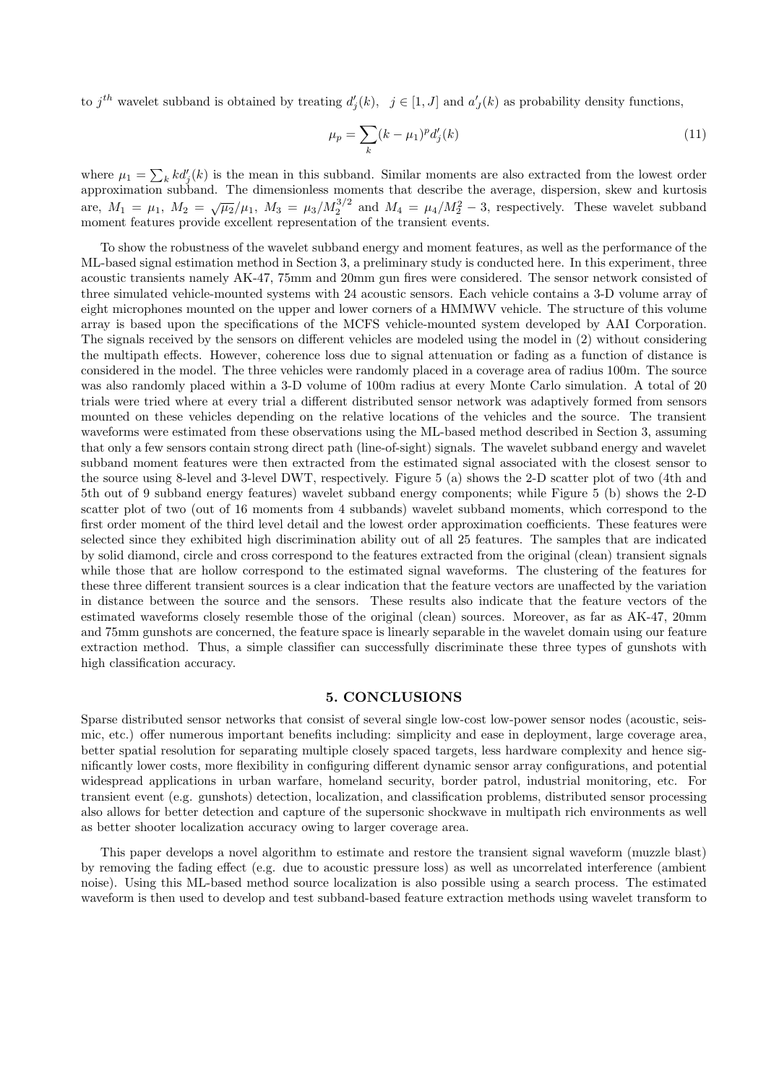to  $j^{th}$  wavelet subband is obtained by treating  $d'_{j}(k)$ ,  $j \in [1, J]$  and  $a'_{J}(k)$  as probability density functions,

$$
\mu_p = \sum_k (k - \mu_1)^p d'_j(k) \tag{11}
$$

where  $\mu_1 = \sum_k k d'_j(k)$  is the mean in this subband. Similar moments are also extracted from the lowest order where  $\mu_1 - \sum_k \kappa a_j(\kappa)$  is the mean in this subband. Similar moments are also extracted from the lowest order<br>approximation subband. The dimensionless moments that describe the average, dispersion, skew and kurtosis are,  $M_1 = \mu_1$ ,  $M_2 = \sqrt{\mu_2}/\mu_1$ ,  $M_3 = \mu_3/M_2^{3/2}$  and  $M_4 = \mu_4/M_2^2 - 3$ , respectively. These wavelet subband moment features provide excellent representation of the transient events.

To show the robustness of the wavelet subband energy and moment features, as well as the performance of the ML-based signal estimation method in Section 3, a preliminary study is conducted here. In this experiment, three acoustic transients namely AK-47, 75mm and 20mm gun fires were considered. The sensor network consisted of three simulated vehicle-mounted systems with 24 acoustic sensors. Each vehicle contains a 3-D volume array of eight microphones mounted on the upper and lower corners of a HMMWV vehicle. The structure of this volume array is based upon the specifications of the MCFS vehicle-mounted system developed by AAI Corporation. The signals received by the sensors on different vehicles are modeled using the model in (2) without considering the multipath effects. However, coherence loss due to signal attenuation or fading as a function of distance is considered in the model. The three vehicles were randomly placed in a coverage area of radius 100m. The source was also randomly placed within a 3-D volume of 100m radius at every Monte Carlo simulation. A total of 20 trials were tried where at every trial a different distributed sensor network was adaptively formed from sensors mounted on these vehicles depending on the relative locations of the vehicles and the source. The transient waveforms were estimated from these observations using the ML-based method described in Section 3, assuming that only a few sensors contain strong direct path (line-of-sight) signals. The wavelet subband energy and wavelet subband moment features were then extracted from the estimated signal associated with the closest sensor to the source using 8-level and 3-level DWT, respectively. Figure 5 (a) shows the 2-D scatter plot of two (4th and 5th out of 9 subband energy features) wavelet subband energy components; while Figure 5 (b) shows the 2-D scatter plot of two (out of 16 moments from 4 subbands) wavelet subband moments, which correspond to the first order moment of the third level detail and the lowest order approximation coefficients. These features were selected since they exhibited high discrimination ability out of all 25 features. The samples that are indicated by solid diamond, circle and cross correspond to the features extracted from the original (clean) transient signals while those that are hollow correspond to the estimated signal waveforms. The clustering of the features for these three different transient sources is a clear indication that the feature vectors are unaffected by the variation in distance between the source and the sensors. These results also indicate that the feature vectors of the estimated waveforms closely resemble those of the original (clean) sources. Moreover, as far as AK-47, 20mm and 75mm gunshots are concerned, the feature space is linearly separable in the wavelet domain using our feature extraction method. Thus, a simple classifier can successfully discriminate these three types of gunshots with high classification accuracy.

## 5. CONCLUSIONS

Sparse distributed sensor networks that consist of several single low-cost low-power sensor nodes (acoustic, seismic, etc.) offer numerous important benefits including: simplicity and ease in deployment, large coverage area, better spatial resolution for separating multiple closely spaced targets, less hardware complexity and hence significantly lower costs, more flexibility in configuring different dynamic sensor array configurations, and potential widespread applications in urban warfare, homeland security, border patrol, industrial monitoring, etc. For transient event (e.g. gunshots) detection, localization, and classification problems, distributed sensor processing also allows for better detection and capture of the supersonic shockwave in multipath rich environments as well as better shooter localization accuracy owing to larger coverage area.

This paper develops a novel algorithm to estimate and restore the transient signal waveform (muzzle blast) by removing the fading effect (e.g. due to acoustic pressure loss) as well as uncorrelated interference (ambient noise). Using this ML-based method source localization is also possible using a search process. The estimated waveform is then used to develop and test subband-based feature extraction methods using wavelet transform to